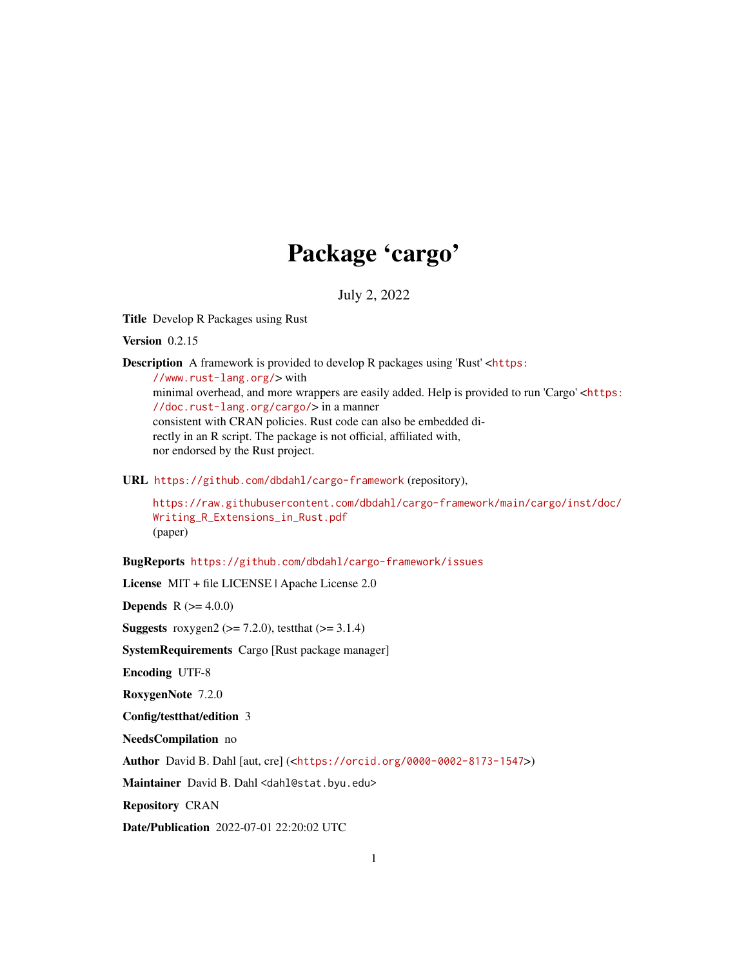## Package 'cargo'

July 2, 2022

<span id="page-0-0"></span>Title Develop R Packages using Rust

Version 0.2.15

Description A framework is provided to develop R packages using 'Rust' <[https:](https://www.rust-lang.org/) [//www.rust-lang.org/](https://www.rust-lang.org/)> with minimal overhead, and more wrappers are easily added. Help is provided to run 'Cargo' <[https:](https://doc.rust-lang.org/cargo/) [//doc.rust-lang.org/cargo/](https://doc.rust-lang.org/cargo/)> in a manner consistent with CRAN policies. Rust code can also be embedded directly in an R script. The package is not official, affiliated with, nor endorsed by the Rust project.

URL <https://github.com/dbdahl/cargo-framework> (repository),

[https://raw.githubusercontent.com/dbdahl/cargo-framework/main/cargo/inst/doc/](https://raw.githubusercontent.com/dbdahl/cargo-framework/main/cargo/inst/doc/Writing_R_Extensions_in_Rust.pdf) [Writing\\_R\\_Extensions\\_in\\_Rust.pdf](https://raw.githubusercontent.com/dbdahl/cargo-framework/main/cargo/inst/doc/Writing_R_Extensions_in_Rust.pdf) (paper)

BugReports <https://github.com/dbdahl/cargo-framework/issues>

License MIT + file LICENSE | Apache License 2.0

**Depends** R  $(>= 4.0.0)$ 

Suggests roxygen2 ( $>= 7.2.0$ ), testthat ( $>= 3.1.4$ )

SystemRequirements Cargo [Rust package manager]

Encoding UTF-8

RoxygenNote 7.2.0

Config/testthat/edition 3

NeedsCompilation no

Author David B. Dahl [aut, cre] (<<https://orcid.org/0000-0002-8173-1547>>)

Maintainer David B. Dahl <dahl@stat.byu.edu>

Repository CRAN

Date/Publication 2022-07-01 22:20:02 UTC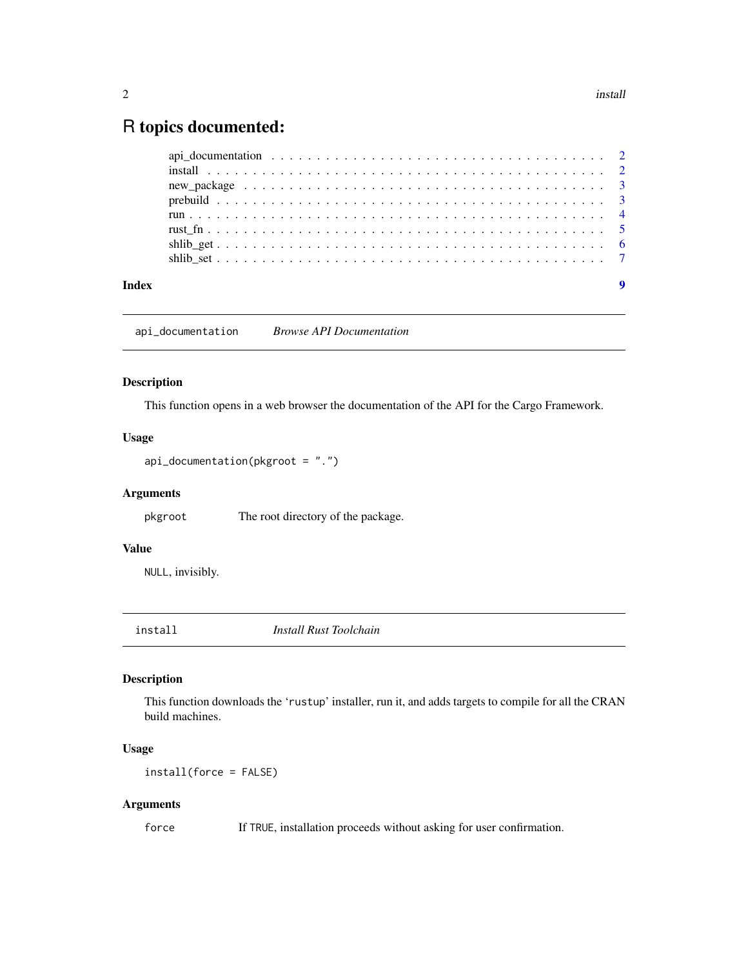### <span id="page-1-0"></span>R topics documented:

| Index | $\boldsymbol{9}$ |
|-------|------------------|

api\_documentation *Browse API Documentation*

#### Description

This function opens in a web browser the documentation of the API for the Cargo Framework.

#### Usage

```
api_documentation(pkgroot = ".")
```
#### Arguments

pkgroot The root directory of the package.

#### Value

NULL, invisibly.

install *Install Rust Toolchain*

#### Description

This function downloads the 'rustup' installer, run it, and adds targets to compile for all the CRAN build machines.

#### Usage

install(force = FALSE)

#### Arguments

force If TRUE, installation proceeds without asking for user confirmation.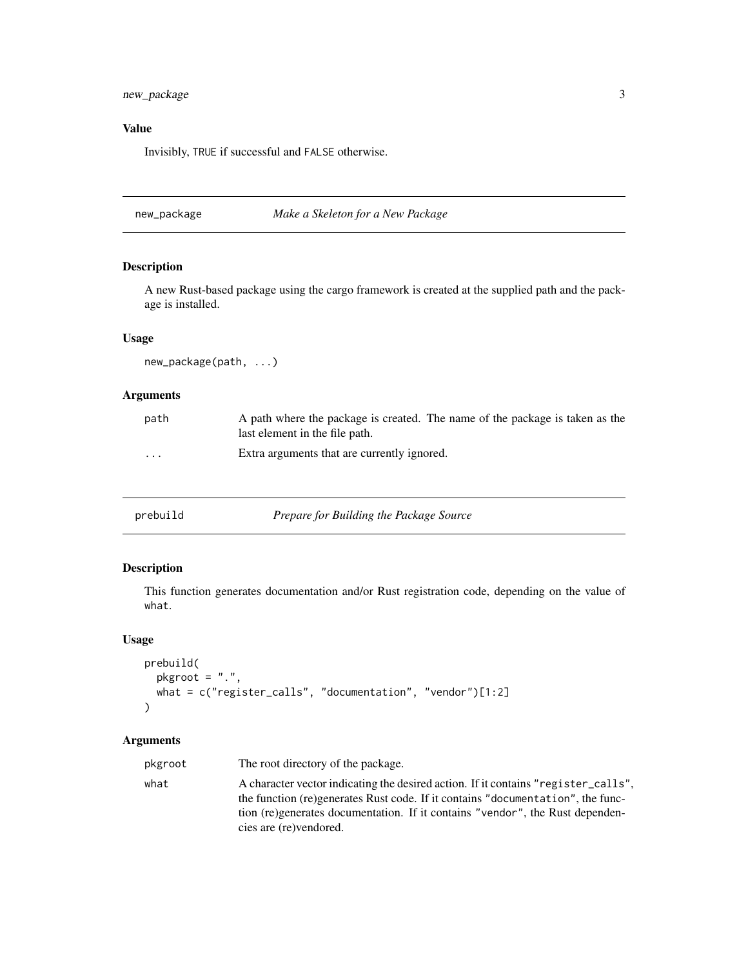#### <span id="page-2-0"></span>new\_package 3

#### Value

Invisibly, TRUE if successful and FALSE otherwise.

new\_package *Make a Skeleton for a New Package*

#### Description

A new Rust-based package using the cargo framework is created at the supplied path and the package is installed.

#### Usage

new\_package(path, ...)

#### Arguments

| path                    | A path where the package is created. The name of the package is taken as the<br>last element in the file path. |
|-------------------------|----------------------------------------------------------------------------------------------------------------|
| $\cdot$ $\cdot$ $\cdot$ | Extra arguments that are currently ignored.                                                                    |

| prebuild | Prepare for Building the Package Source |
|----------|-----------------------------------------|
|----------|-----------------------------------------|

#### Description

This function generates documentation and/or Rust registration code, depending on the value of what.

#### Usage

```
prebuild(
 pkgroot = ".",
 what = c("register_calls", "documentation", "vendor")[1:2]
\lambda
```
#### Arguments

pkgroot The root directory of the package. what A character vector indicating the desired action. If it contains "register\_calls", the function (re)generates Rust code. If it contains "documentation", the function (re)generates documentation. If it contains "vendor", the Rust dependencies are (re)vendored.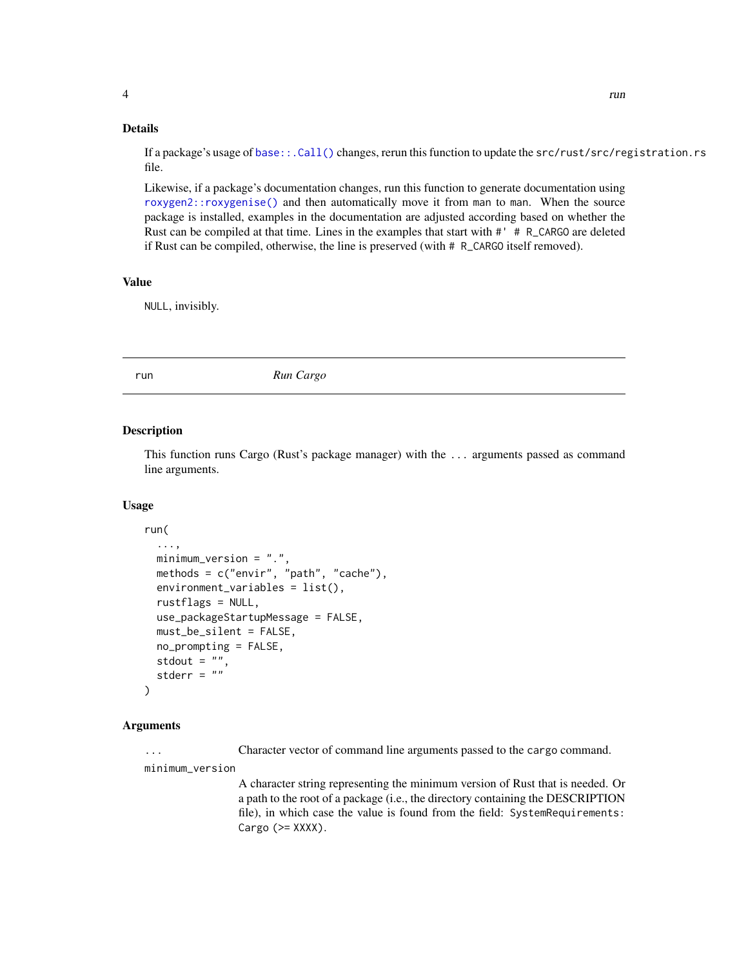#### <span id="page-3-0"></span>Details

If a package's usage of [base::.Call\(\)](#page-0-0) changes, rerun this function to update the src/rust/src/registration.rs file.

Likewise, if a package's documentation changes, run this function to generate documentation using [roxygen2::roxygenise\(\)](#page-0-0) and then automatically move it from man to man. When the source package is installed, examples in the documentation are adjusted according based on whether the Rust can be compiled at that time. Lines in the examples that start with #' # R\_CARGO are deleted if Rust can be compiled, otherwise, the line is preserved (with # R\_CARGO itself removed).

#### Value

NULL, invisibly.

run *Run Cargo*

#### Description

This function runs Cargo (Rust's package manager) with the ... arguments passed as command line arguments.

#### Usage

```
run(
  ...,
 minimum_version = ".",
 methods = c("envir", "path", "cache"),
  environment_variables = list(),
  rustflags = NULL,
  use_packageStartupMessage = FALSE,
  must_be_silent = FALSE,
  no_prompting = FALSE,
  stdout = ",
  stderr = "")
```
#### Arguments

... Character vector of command line arguments passed to the cargo command.

minimum\_version

A character string representing the minimum version of Rust that is needed. Or a path to the root of a package (i.e., the directory containing the DESCRIPTION file), in which case the value is found from the field: SystemRequirements: Cargo  $(>=$  XXXX $).$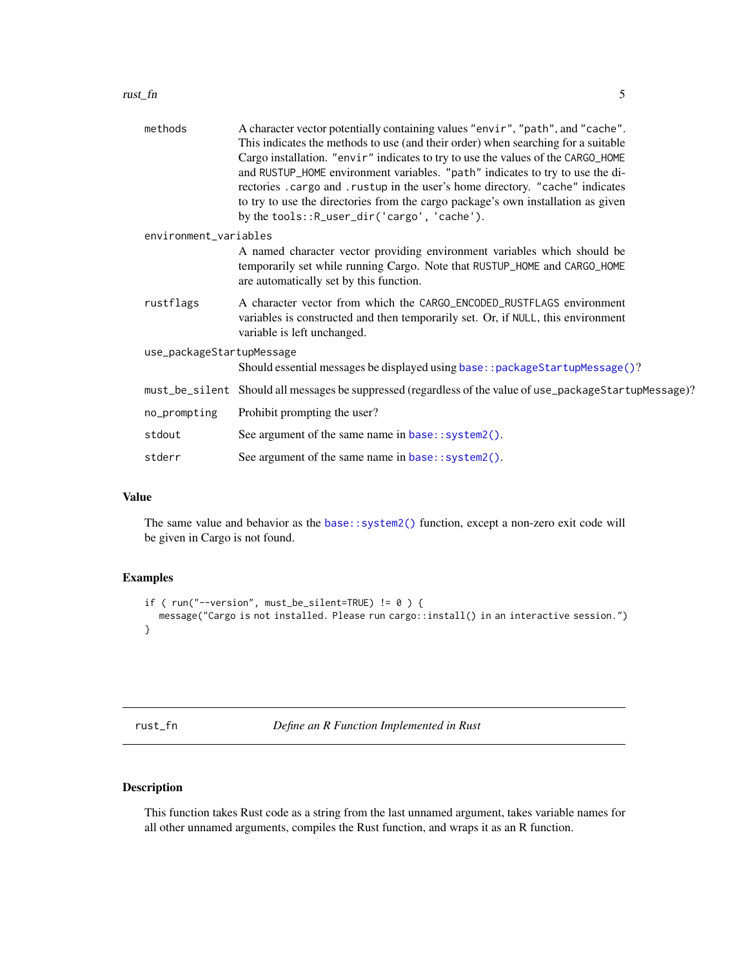#### <span id="page-4-0"></span>rust\_fn 5

| methods                   | A character vector potentially containing values "envir", "path", and "cache".<br>This indicates the methods to use (and their order) when searching for a suitable<br>Cargo installation. "envir" indicates to try to use the values of the CARGO_HOME<br>and RUSTUP_HOME environment variables. "path" indicates to try to use the di-<br>rectories . cargo and . rustup in the user's home directory. "cache" indicates<br>to try to use the directories from the cargo package's own installation as given<br>by the tools:: R_user_dir('cargo', 'cache'). |
|---------------------------|----------------------------------------------------------------------------------------------------------------------------------------------------------------------------------------------------------------------------------------------------------------------------------------------------------------------------------------------------------------------------------------------------------------------------------------------------------------------------------------------------------------------------------------------------------------|
| environment_variables     |                                                                                                                                                                                                                                                                                                                                                                                                                                                                                                                                                                |
|                           | A named character vector providing environment variables which should be<br>temporarily set while running Cargo. Note that RUSTUP_HOME and CARGO_HOME<br>are automatically set by this function.                                                                                                                                                                                                                                                                                                                                                               |
| rustflags                 | A character vector from which the CARGO_ENCODED_RUSTFLAGS environment<br>variables is constructed and then temporarily set. Or, if NULL, this environment<br>variable is left unchanged.                                                                                                                                                                                                                                                                                                                                                                       |
| use_packageStartupMessage |                                                                                                                                                                                                                                                                                                                                                                                                                                                                                                                                                                |
|                           | Should essential messages be displayed using base: : packageStartupMessage()?                                                                                                                                                                                                                                                                                                                                                                                                                                                                                  |
|                           | must_be_silent Should all messages be suppressed (regardless of the value of use_packageStartupMessage)?                                                                                                                                                                                                                                                                                                                                                                                                                                                       |
| no_prompting              | Prohibit prompting the user?                                                                                                                                                                                                                                                                                                                                                                                                                                                                                                                                   |
| stdout                    | See argument of the same name in base:: system2().                                                                                                                                                                                                                                                                                                                                                                                                                                                                                                             |
| stderr                    | See argument of the same name in base:: system2().                                                                                                                                                                                                                                                                                                                                                                                                                                                                                                             |

#### Value

The same value and behavior as the [base::system2\(\)](#page-0-0) function, except a non-zero exit code will be given in Cargo is not found.

#### Examples

```
if ( run("--version", must_be\_silent=True) != 0 ) {
  message("Cargo is not installed. Please run cargo::install() in an interactive session.")
}
```
rust\_fn *Define an R Function Implemented in Rust*

#### Description

This function takes Rust code as a string from the last unnamed argument, takes variable names for all other unnamed arguments, compiles the Rust function, and wraps it as an R function.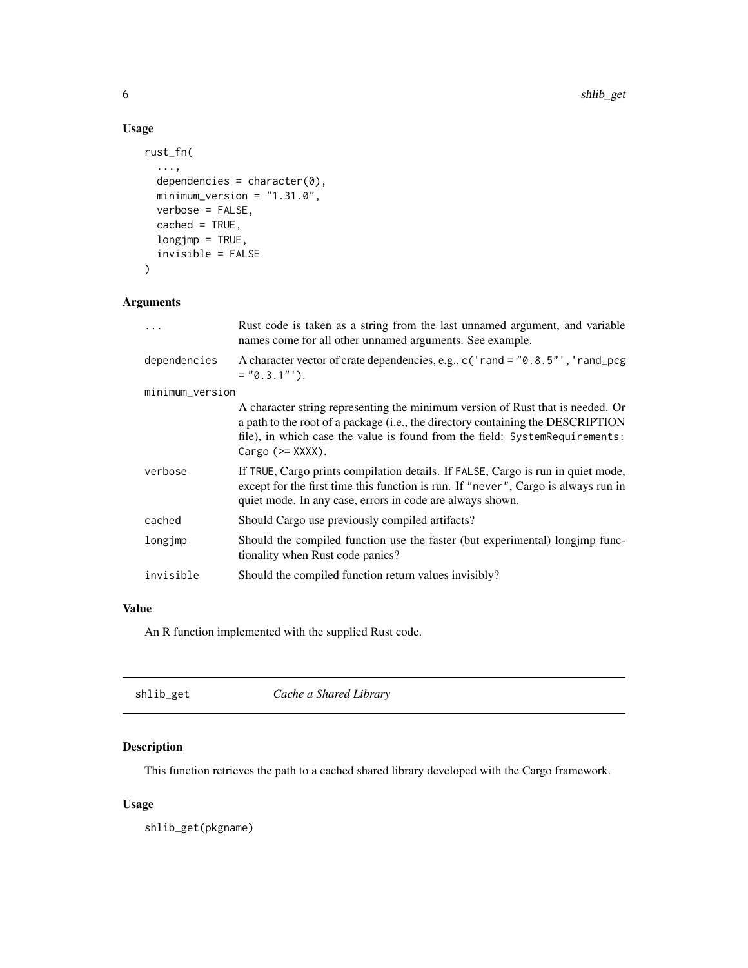#### Usage

```
rust_fn(
  ...,
 dependencies = character(0),
 minimum_version = "1.31.0",
 verbose = FALSE,
  cached = TRUE,
 longjmp = TRUE,
  invisible = FALSE
)
```
#### Arguments

|                 | Rust code is taken as a string from the last unnamed argument, and variable<br>names come for all other unnamed arguments. See example.                                                                                                                                |  |  |
|-----------------|------------------------------------------------------------------------------------------------------------------------------------------------------------------------------------------------------------------------------------------------------------------------|--|--|
| dependencies    | A character vector of crate dependencies, e.g., c ('rand = "0.8.5"', 'rand_pcg<br>$= "0.3.1"$ ).                                                                                                                                                                       |  |  |
| minimum_version |                                                                                                                                                                                                                                                                        |  |  |
|                 | A character string representing the minimum version of Rust that is needed. Or<br>a path to the root of a package (i.e., the directory containing the DESCRIPTION<br>file), in which case the value is found from the field: SystemRequirements:<br>Cargo $(>=$ XXXX). |  |  |
| verbose         | If TRUE, Cargo prints compilation details. If FALSE, Cargo is run in quiet mode,<br>except for the first time this function is run. If "never", Cargo is always run in<br>quiet mode. In any case, errors in code are always shown.                                    |  |  |
| cached          | Should Cargo use previously compiled artifacts?                                                                                                                                                                                                                        |  |  |
| longjmp         | Should the compiled function use the faster (but experimental) longimp func-<br>tionality when Rust code panics?                                                                                                                                                       |  |  |
| invisible       | Should the compiled function return values invisibly?                                                                                                                                                                                                                  |  |  |
|                 |                                                                                                                                                                                                                                                                        |  |  |

#### Value

An R function implemented with the supplied Rust code.

| shlib_get | Cache a Shared Library |  |
|-----------|------------------------|--|
|           |                        |  |

#### Description

This function retrieves the path to a cached shared library developed with the Cargo framework.

#### Usage

shlib\_get(pkgname)

<span id="page-5-0"></span>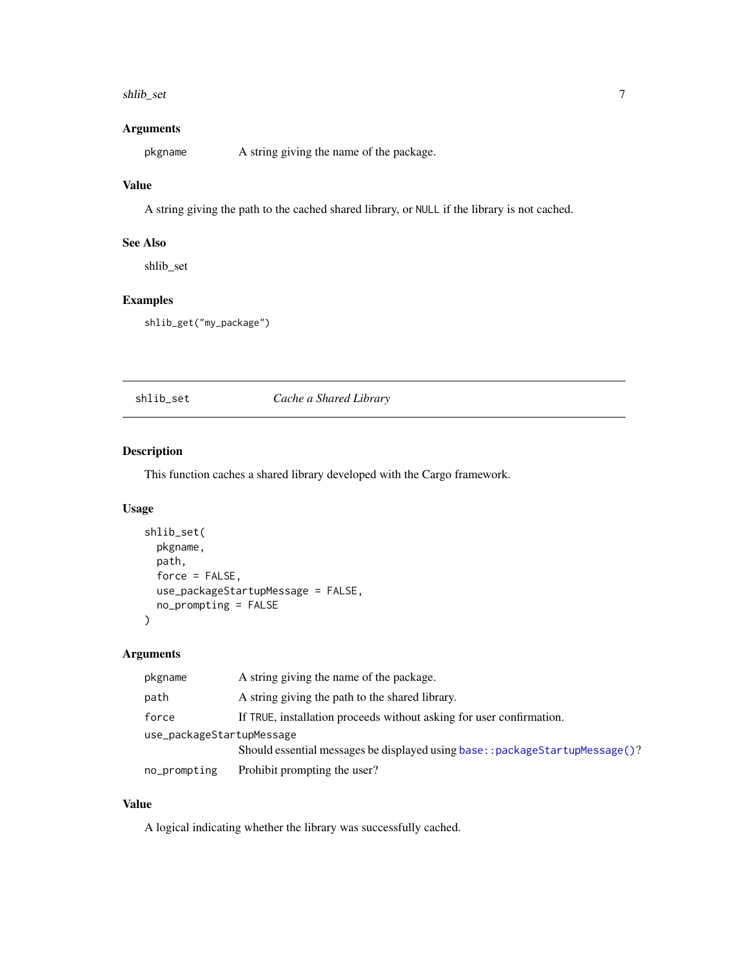#### <span id="page-6-0"></span>shlib\_set 7

#### Arguments

pkgname A string giving the name of the package.

#### Value

A string giving the path to the cached shared library, or NULL if the library is not cached.

#### See Also

shlib\_set

#### Examples

shlib\_get("my\_package")

#### shlib\_set *Cache a Shared Library*

#### Description

This function caches a shared library developed with the Cargo framework.

#### Usage

```
shlib_set(
 pkgname,
 path,
  force = FALSE,use_packageStartupMessage = FALSE,
 no_prompting = FALSE
)
```
#### Arguments

| pkgname                   | A string giving the name of the package.                                      |  |
|---------------------------|-------------------------------------------------------------------------------|--|
| path                      | A string giving the path to the shared library.                               |  |
| force                     | If TRUE, installation proceeds without asking for user confirmation.          |  |
| use_packageStartupMessage |                                                                               |  |
|                           | Should essential messages be displayed using base: : packageStartupMessage()? |  |
| no_prompting              | Prohibit prompting the user?                                                  |  |

#### Value

A logical indicating whether the library was successfully cached.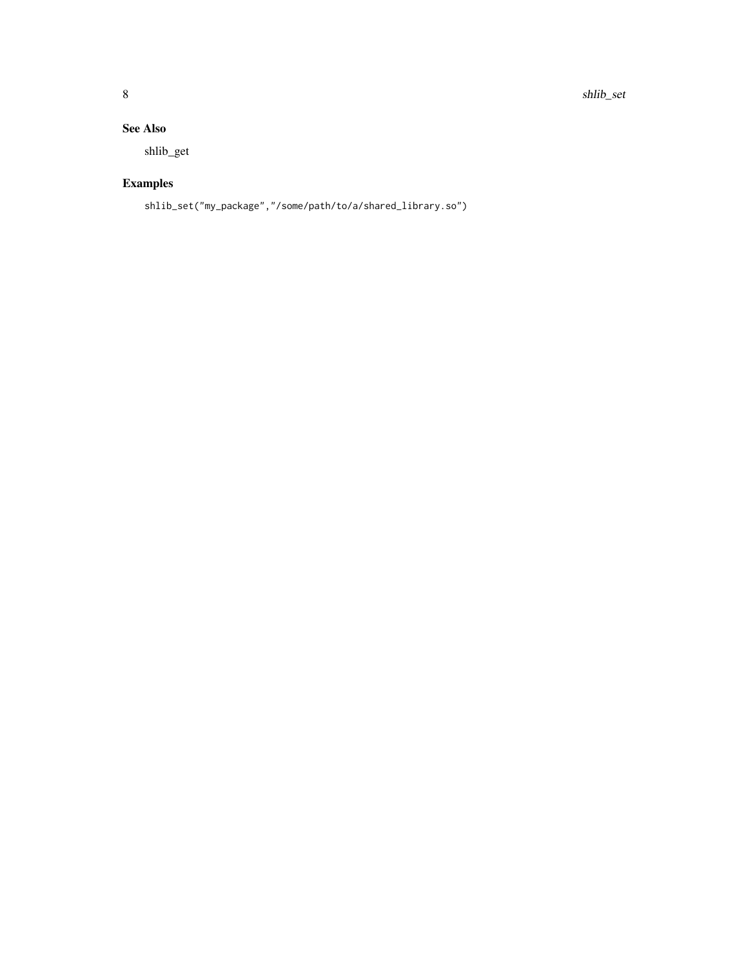#### See Also

shlib\_get

### Examples

shlib\_set("my\_package","/some/path/to/a/shared\_library.so")